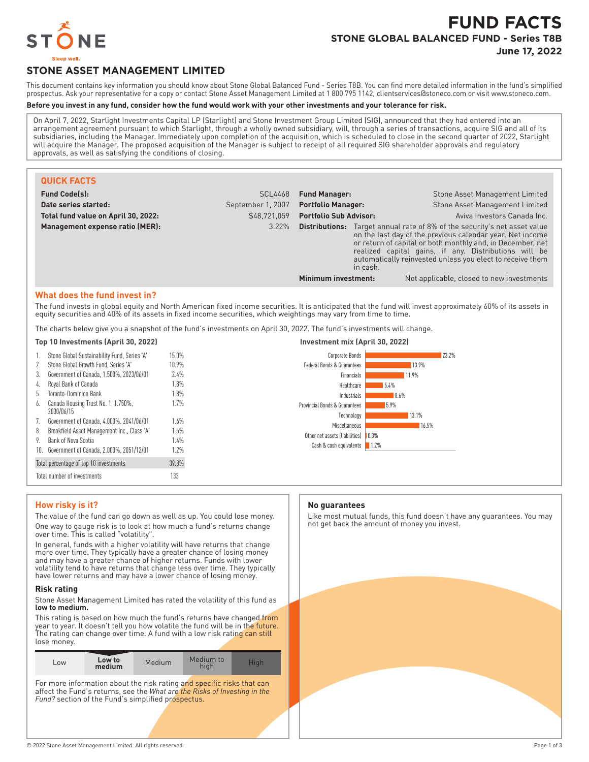

# **FUND FACTS STONE GLOBAL BALANCED FUND - Series T8B**

**June 17, 2022**

## **STONE ASSET MANAGEMENT LIMITED**

This document contains key information you should know about Stone Global Balanced Fund - Series T8B. You can find more detailed information in the fund's simplified prospectus. Ask your representative for a copy or contact Stone Asset Management Limited at 1 800 795 1142, clientservices@stoneco.com or visit www.stoneco.com.

#### **Before you invest in any fund, consider how the fund would work with your other investments and your tolerance for risk.**

On April 7, 2022, Starlight Investments Capital LP (Starlight) and Stone Investment Group Limited (SIG), announced that they had entered into an arrangement agreement pursuant to which Starlight, through a wholly owned subsidiary, will, through a series of transactions, acquire SIG and all of its subsidiaries, including the Manager. Immediately upon completion of the acquisition, which is scheduled to close in the second quarter of 2022, Starlight will acquire the Manager. The proposed acquisition of the Manager is subject to receipt of all required SIG shareholder approvals and regulatory approvals, as well as satisfying the conditions of closing.

| <b>QUICK FACTS</b>                  |                   |                                                                                                                                                                                                                                                                                                                                               |                                           |
|-------------------------------------|-------------------|-----------------------------------------------------------------------------------------------------------------------------------------------------------------------------------------------------------------------------------------------------------------------------------------------------------------------------------------------|-------------------------------------------|
| <b>Fund Code(s):</b>                | <b>SCL4468</b>    | <b>Fund Manager:</b>                                                                                                                                                                                                                                                                                                                          | Stone Asset Management Limited            |
| Date series started:                | September 1, 2007 | <b>Portfolio Manager:</b>                                                                                                                                                                                                                                                                                                                     | <b>Stone Asset Management Limited</b>     |
| Total fund value on April 30, 2022: | \$48,721,059      | <b>Portfolio Sub Advisor:</b>                                                                                                                                                                                                                                                                                                                 | Aviva Investors Canada Inc.               |
| Management expense ratio (MER):     | 3.22%             | <b>Distributions:</b> Target annual rate of 8% of the security's net asset value<br>on the last day of the previous calendar year. Net income<br>or return of capital or both monthly and, in December, net<br>realized capital gains, if any. Distributions will be<br>automatically reinvested unless you elect to receive them<br>in cash. |                                           |
|                                     |                   | Minimum investment:                                                                                                                                                                                                                                                                                                                           | Not applicable, closed to new investments |

#### **What does the fund invest in?**

The fund invests in global equity and North American fixed income securities. It is anticipated that the fund will invest approximately 60% of its assets in equity securities and 40% of its assets in fixed income securities, which weightings may vary from time to time.

The charts below give you a snapshot of the fund's investments on April 30, 2022. The fund's investments will change.

#### **Top 10 Investments (April 30, 2022) Investment mix (April 30, 2022)** Stone Global Sustainability Fund, Series 'A' 15.0% 2. Stone Global Growth Fund, Series 'A' 10.9% 3. Government of Canada, 1.500%, 2023/06/01 2.4% 4. Royal Bank of Canada 1.8% 5. Toronto-Dominion Bank 1.8% 6. Canada Housing Trust No. 1, 1.750%, 2030/06/15 1.7% 7. Government of Canada, 4.000%, 2041/06/01 1.6% 8. Brookfield Asset Management Inc., Class 'A' 1.5% 9. Bank of Nova Scotia 1.4% 10. Government of Canada, 2.000%, 2051/12/01 1.2% Total percentage of top 10 investments 39.3% Total number of investments 133 23.2% 13.9% 11.9% 5.4% 8.6% 5.9% 13.1% 16.5% Other net assets (liabilities) | 0.3% 1.2% Corporate Bonds Federal Bonds & Guarantees Financials Healthcare Industrials Provincial Bonds & Guarantees Technology **Miscellaneous** Cash & cash equivalents

#### **How risky is it?**

The value of the fund can go down as well as up. You could lose money. One way to gauge risk is to look at how much a fund's returns change over time. This is called "volatility".

In general, funds with a higher volatility will have returns that change more over time. They typically have a greater chance of losing money and may have a greater chance of higher returns. Funds with lower volatility tend to have returns that change less over time. They typically have lower returns and may have a lower chance of losing money.

#### **Risk rating**

Stone Asset Management Limited has rated the volatility of this fund as **low to medium.**

This rating is based on how much the fund's returns have changed from year to year. It doesn't tell you how volatile the fund will be in the future. The rating can change over time. A fund with a low risk rating can still lose money.

| LOW | Low to<br>medium | Medium | Medium to<br>hiah | Hiah |
|-----|------------------|--------|-------------------|------|
|-----|------------------|--------|-------------------|------|

For more information about the risk rating and specific risks that can affect the Fund's returns, see the *What are the Risks of Investing in the Fund?* section of the Fund's simplified prospectus.

#### **No guarantees**

Like most mutual funds, this fund doesn't have any guarantees. You may not get back the amount of money you invest.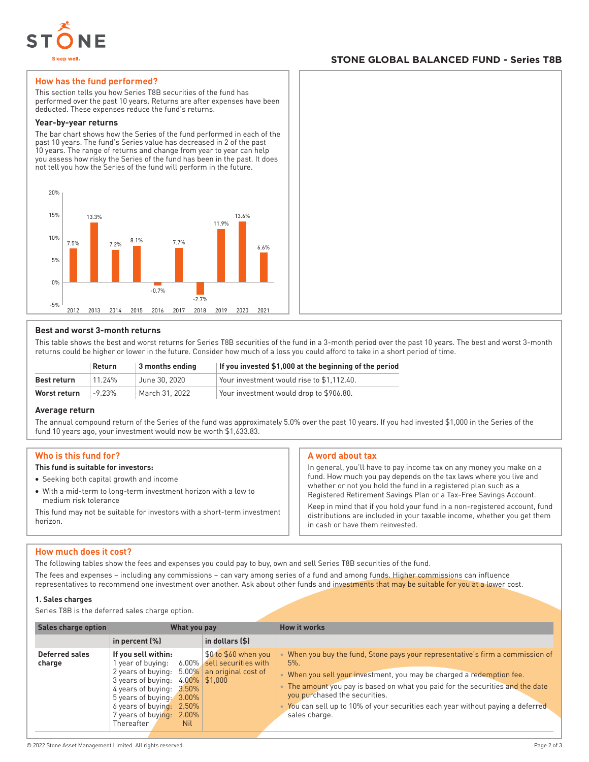

#### **STONE GLOBAL BALANCED FUND - Series T8B**

#### **How has the fund performed?**

This section tells you how Series T8B securities of the fund has performed over the past 10 years. Returns are after expenses have been deducted. These expenses reduce the fund's returns.

#### **Year-by-year returns**

The bar chart shows how the Series of the fund performed in each of the past 10 years. The fund's Series value has decreased in 2 of the past 10 years. The range of returns and change from year to year can help you assess how risky the Series of the fund has been in the past. It does not tell you how the Series of the fund will perform in the future.



#### **Best and worst 3-month returns**

This table shows the best and worst returns for Series T8B securities of the fund in a 3-month period over the past 10 years. The best and worst 3-month returns could be higher or lower in the future. Consider how much of a loss you could afford to take in a short period of time.

|              | <b>Return</b> | $\vert$ 3 months ending | If you invested \$1,000 at the beginning of the period |
|--------------|---------------|-------------------------|--------------------------------------------------------|
| Best return  | 11.24%        | June 30, 2020           | Your investment would rise to \$1.112.40.              |
| Worst return | $-9.23%$      | March 31, 2022          | Your investment would drop to \$906.80.                |

#### **Average return**

The annual compound return of the Series of the fund was approximately 5.0% over the past 10 years. If you had invested \$1,000 in the Series of the fund 10 years ago, your investment would now be worth \$1,633.83.

#### **Who is this fund for?**

#### **This fund is suitable for investors:**

- Seeking both capital growth and income
- With a mid-term to long-term investment horizon with a low to medium risk tolerance

This fund may not be suitable for investors with a short-term investment horizon.

#### **A word about tax**

In general, you'll have to pay income tax on any money you make on a fund. How much you pay depends on the tax laws where you live and whether or not you hold the fund in a registered plan such as a Registered Retirement Savings Plan or a Tax-Free Savings Account.

Keep in mind that if you hold your fund in a non-registered account, fund distributions are included in your taxable income, whether you get them in cash or have them reinvested.

#### **How much does it cost?**

The following tables show the fees and expenses you could pay to buy, own and sell Series T8B securities of the fund.

The fees and expenses – including any commissions – can vary among series of a fund and among funds. Higher commissions can influence representatives to recommend one investment over another. Ask about other funds and investments that may be suitable for you at a lower cost.

#### **1. Sales charges**

Series T8B is the deferred sales charge option.

| <b>Sales charge option</b> | What you pay                                                                                                                                                                                                                                           |                                                                                               | <b>How it works</b>                                                                                                                                                                                                                                                                                                                                                              |
|----------------------------|--------------------------------------------------------------------------------------------------------------------------------------------------------------------------------------------------------------------------------------------------------|-----------------------------------------------------------------------------------------------|----------------------------------------------------------------------------------------------------------------------------------------------------------------------------------------------------------------------------------------------------------------------------------------------------------------------------------------------------------------------------------|
|                            | in percent $(\%)$                                                                                                                                                                                                                                      | in dollars (\$)                                                                               |                                                                                                                                                                                                                                                                                                                                                                                  |
| Deferred sales<br>charge   | If you sell within:<br>year of buying:<br>2 years of buying: 5.00%<br>3 years of buying:<br>4 years of buying:<br>$3.50\%$<br>5 years of buying:<br>$3.00\%$<br>6 years of buying:<br>2.50%<br>7 years of buying:<br>2.00%<br>Thereafter<br><b>Nil</b> | \$0 to \$60 when you<br>6.00% sell securities with<br>an original cost of<br>$4.00\%$ \$1.000 | When you buy the fund, Stone pays your representative's firm a commission of<br>$5%$ .<br>When you sell your investment, you may be charged a redemption fee.<br>The amount you pay is based on what you paid for the securities and the date<br>you purchased the securities.<br>You can sell up to 10% of your securities each year without paying a deferred<br>sales charge. |